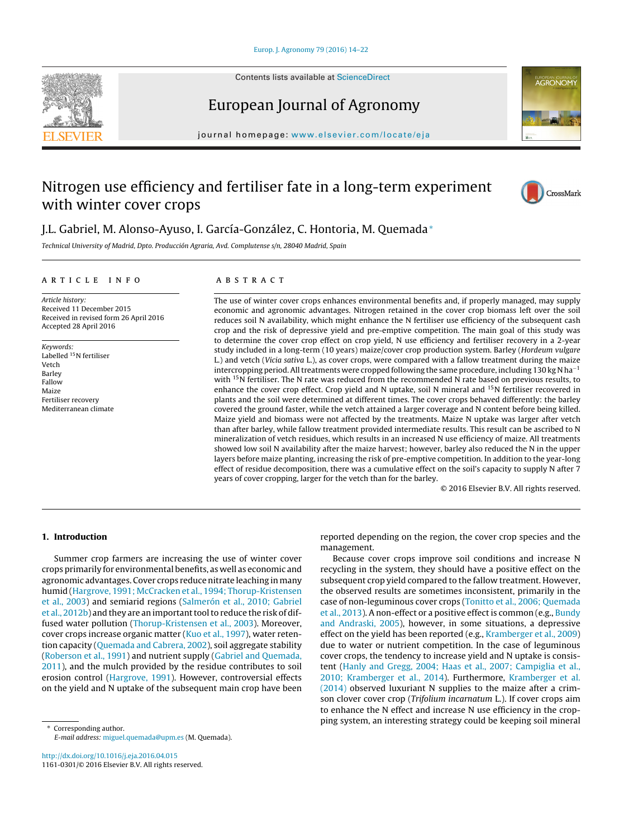Contents lists available at [ScienceDirect](http://www.sciencedirect.com/science/journal/11610301)





## European Journal of Agronomy

journal homepage: [www.elsevier.com/locate/eja](http://www.elsevier.com/locate/eja)

# Nitrogen use efficiency and fertiliser fate in a long-term experiment with winter cover crops



## J.L. Gabriel, M. Alonso-Ayuso, I. García-González, C. Hontoria, M. Quemada<sup>∗</sup>

Technical University of Madrid, Dpto. Producción Agraria, Avd. Complutense s/n, 28040 Madrid, Spain

#### a r t i c l e i n f o

### A B S T R A C T

Article history: Received 11 December 2015 Received in revised form 26 April 2016 Accepted 28 April 2016

Keywords: Labelled 15N fertiliser Vetch Barley Fallow Maize Fertiliser recovery Mediterranean climate

The use of winter cover crops enhances environmental benefits and, if properly managed, may supply economic and agronomic advantages. Nitrogen retained in the cover crop biomass left over the soil reduces soil N availability, which might enhance the N fertiliser use efficiency of the subsequent cash crop and the risk of depressive yield and pre-emptive competition. The main goal of this study was to determine the cover crop effect on crop yield, N use efficiency and fertiliser recovery in a 2-year study included in a long-term (10 years) maize/cover crop production system. Barley (Hordeum vulgare L.) and vetch (Vicia sativa L.), as cover crops, were compared with a fallow treatment during the maize intercropping period. All treatments were cropped following the same procedure, including 130 kg N ha<sup>-1</sup> with <sup>15</sup>N fertiliser. The N rate was reduced from the recommended N rate based on previous results, to enhance the cover crop effect. Crop yield and N uptake, soil N mineral and 15N fertiliser recovered in plants and the soil were determined at different times. The cover crops behaved differently: the barley covered the ground faster, while the vetch attained a larger coverage and N content before being killed. Maize yield and biomass were not affected by the treatments. Maize N uptake was larger after vetch than after barley, while fallow treatment provided intermediate results. This result can be ascribed to N mineralization of vetch residues, which results in an increased N use efficiency of maize. All treatments showed low soil N availability after the maize harvest; however, barley also reduced the N in the upper layers before maize planting, increasing the risk of pre-emptive competition. In addition to the year-long effect of residue decomposition, there was a cumulative effect on the soil's capacity to supply N after 7 years of cover cropping, larger for the vetch than for the barley.

© 2016 Elsevier B.V. All rights reserved.

## **1. Introduction**

Summer crop farmers are increasing the use of winter cover crops primarily for environmental benefits, as well as economic and agronomic advantages. Cover crops reduce nitrate leaching in many humid ([Hargrove,](#page--1-0) [1991;](#page--1-0) [McCracken](#page--1-0) et [al.,](#page--1-0) [1994;](#page--1-0) [Thorup-Kristensen](#page--1-0) et [al.,](#page--1-0) [2003\)](#page--1-0) and semiarid regions [\(Salmerón](#page--1-0) et [al.,](#page--1-0) [2010;](#page--1-0) [Gabriel](#page--1-0) et [al.,](#page--1-0) [2012b\)](#page--1-0) and they are an important tool to reduce the risk of diffused water pollution [\(Thorup-Kristensen](#page--1-0) et [al.,](#page--1-0) [2003\).](#page--1-0) Moreover, cover crops increase organic matter [\(Kuo](#page--1-0) et [al.,](#page--1-0) [1997\),](#page--1-0) water retention capacity [\(Quemada](#page--1-0) [and](#page--1-0) [Cabrera,](#page--1-0) [2002\),](#page--1-0) soil aggregate stability ([Roberson](#page--1-0) et [al.,](#page--1-0) [1991\)](#page--1-0) and nutrient supply [\(Gabriel](#page--1-0) [and](#page--1-0) [Quemada,](#page--1-0) [2011\),](#page--1-0) and the mulch provided by the residue contributes to soil erosion control [\(Hargrove,](#page--1-0) [1991\).](#page--1-0) However, controversial effects on the yield and N uptake of the subsequent main crop have been

∗ Corresponding author. E-mail address: [miguel.quemada@upm.es](mailto:miguel.quemada@upm.es) (M. Quemada).

[http://dx.doi.org/10.1016/j.eja.2016.04.015](dx.doi.org/10.1016/j.eja.2016.04.015) 1161-0301/© 2016 Elsevier B.V. All rights reserved. reported depending on the region, the cover crop species and the management.

Because cover crops improve soil conditions and increase N recycling in the system, they should have a positive effect on the subsequent crop yield compared to the fallow treatment. However, the observed results are sometimes inconsistent, primarily in the case of non-leguminous cover crops ([Tonitto](#page--1-0) et [al.,](#page--1-0) [2006;](#page--1-0) [Quemada](#page--1-0) et [al.,](#page--1-0) [2013\).](#page--1-0) A non-effect or a positive effect is common (e.g., [Bundy](#page--1-0) [and](#page--1-0) [Andraski,](#page--1-0) [2005\),](#page--1-0) however, in some situations, a depressive effect on the yield has been reported (e.g., [Kramberger](#page--1-0) et [al.,](#page--1-0) [2009\)](#page--1-0) due to water or nutrient competition. In the case of leguminous cover crops, the tendency to increase yield and N uptake is consistent [\(Hanly](#page--1-0) [and](#page--1-0) [Gregg,](#page--1-0) [2004;](#page--1-0) [Haas](#page--1-0) et [al.,](#page--1-0) [2007;](#page--1-0) [Campiglia](#page--1-0) et [al.,](#page--1-0) [2010;](#page--1-0) [Kramberger](#page--1-0) et [al.,](#page--1-0) [2014\).](#page--1-0) Furthermore, [Kramberger](#page--1-0) et [al.](#page--1-0) [\(2014\)](#page--1-0) observed luxuriant N supplies to the maize after a crimson clover cover crop (Trifolium incarnatum L.). If cover crops aim to enhance the N effect and increase N use efficiency in the cropping system, an interesting strategy could be keeping soil mineral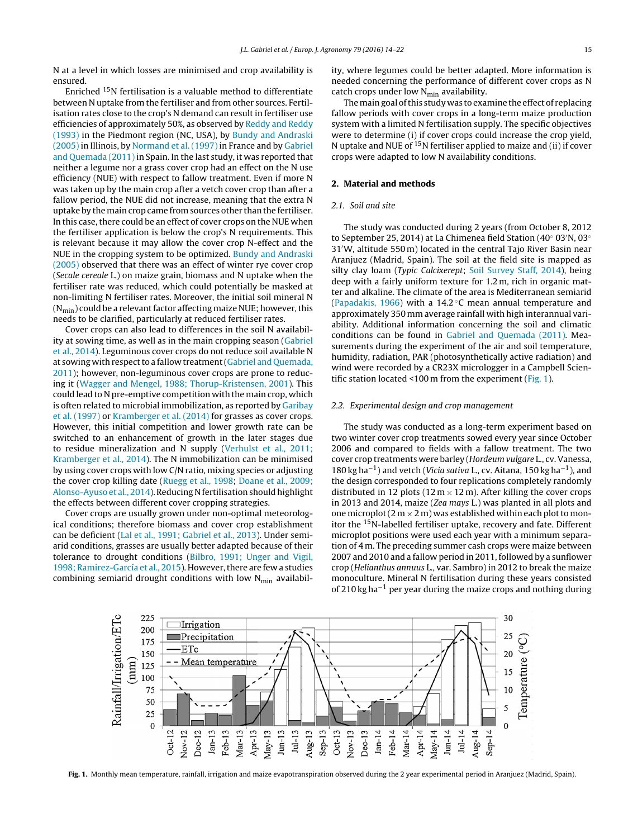N at a level in which losses are minimised and crop availability is ensured.

Enriched 15N fertilisation is a valuable method to differentiate between N uptake from the fertiliser and from other sources. Fertilisation rates close to the crop's N demand can result in fertiliser use efficiencies of approximately 50%, as observed by [Reddy](#page--1-0) [and](#page--1-0) [Reddy](#page--1-0) [\(1993\)](#page--1-0) in the Piedmont region (NC, USA), by [Bundy](#page--1-0) [and](#page--1-0) [Andraski](#page--1-0) [\(2005\)](#page--1-0) in Illinois, by [Normand](#page--1-0) et [al.](#page--1-0) [\(1997\)](#page--1-0) in France and by [Gabriel](#page--1-0) [and](#page--1-0) [Quemada](#page--1-0) [\(2011\)](#page--1-0) in Spain. In the last study, it was reported that neither a legume nor a grass cover crop had an effect on the N use efficiency (NUE) with respect to fallow treatment. Even if more N was taken up by the main crop after a vetch cover crop than after a fallow period, the NUE did not increase, meaning that the extra N uptake by the main crop came from sources other than the fertiliser. In this case, there could be an effect of cover crops on the NUE when the fertiliser application is below the crop's N requirements. This is relevant because it may allow the cover crop N-effect and the NUE in the cropping system to be optimized. [Bundy](#page--1-0) [and](#page--1-0) [Andraski](#page--1-0) [\(2005\)](#page--1-0) observed that there was an effect of winter rye cover crop (Secale cereale L.) on maize grain, biomass and N uptake when the fertiliser rate was reduced, which could potentially be masked at non-limiting N fertiliser rates. Moreover, the initial soil mineral N  $(N_{\text{min}})$  could be a relevant factor affecting maize NUE; however, this needs to be clarified, particularly at reduced fertiliser rates.

Cover crops can also lead to differences in the soil N availability at sowing time, as well as in the main cropping season ([Gabriel](#page--1-0) et [al.,](#page--1-0) [2014\).](#page--1-0) Leguminous cover crops do not reduce soil available N at sowing with respect to a fallow treatment [\(Gabriel](#page--1-0) [and](#page--1-0) [Quemada,](#page--1-0) [2011\);](#page--1-0) however, non-leguminous cover crops are prone to reducing it ([Wagger](#page--1-0) [and](#page--1-0) [Mengel,](#page--1-0) [1988;](#page--1-0) [Thorup-Kristensen,](#page--1-0) [2001\).](#page--1-0) This could lead to N pre-emptive competition with the main crop, which is often related to microbial immobilization, as reported by [Garibay](#page--1-0) et [al.](#page--1-0) [\(1997\)](#page--1-0) or [Kramberger](#page--1-0) et [al.](#page--1-0) [\(2014\)](#page--1-0) for grasses as cover crops. However, this initial competition and lower growth rate can be switched to an enhancement of growth in the later stages due to residue mineralization and N supply ([Verhulst](#page--1-0) et [al.,](#page--1-0) [2011;](#page--1-0) [Kramberger](#page--1-0) et [al.,](#page--1-0) [2014\).](#page--1-0) The N immobilization can be minimised by using cover crops with low C/N ratio, mixing species or adjusting the cover crop killing date [\(Ruegg](#page--1-0) et [al.,](#page--1-0) [1998;](#page--1-0) [Doane](#page--1-0) et [al.,](#page--1-0) [2009;](#page--1-0) [Alonso-Ayuso](#page--1-0) et [al.,](#page--1-0) [2014\).](#page--1-0) Reducing N fertilisation should highlight the effects between different cover cropping strategies.

Cover crops are usually grown under non-optimal meteorological conditions; therefore biomass and cover crop establishment can be deficient [\(Lal](#page--1-0) et [al.,](#page--1-0) [1991;](#page--1-0) [Gabriel](#page--1-0) et [al.,](#page--1-0) [2013\).](#page--1-0) Under semiarid conditions, grasses are usually better adapted because of their tolerance to drought conditions [\(Bilbro,](#page--1-0) [1991;](#page--1-0) [Unger](#page--1-0) [and](#page--1-0) [Vigil,](#page--1-0) [1998;](#page--1-0) [Ramirez-García](#page--1-0) et [al.,](#page--1-0) [2015\).](#page--1-0) However, there are few a studies combining semiarid drought conditions with low  $N_{min}$  availability, where legumes could be better adapted. More information is needed concerning the performance of different cover crops as N catch crops under low  $N_{\text{min}}$  availability.

The main goal of this study was to examine the effect of replacing fallow periods with cover crops in a long-term maize production system with a limited N fertilisation supply. The specific objectives were to determine (i) if cover crops could increase the crop yield, N uptake and NUE of  $15N$  fertiliser applied to maize and (ii) if cover crops were adapted to low N availability conditions.

#### **2. Material and methods**

### 2.1. Soil and site

The study was conducted during 2 years (from October 8, 2012 to September 25, 2014) at La Chimenea field Station (40◦ 03 N, 03◦ 31 W, altitude 550 m) located in the central Tajo River Basin near Aranjuez (Madrid, Spain). The soil at the field site is mapped as silty clay loam (Typic Calcixerept; [Soil](#page--1-0) [Survey](#page--1-0) [Staff,](#page--1-0) [2014\),](#page--1-0) being deep with a fairly uniform texture for 1.2 m, rich in organic matter and alkaline. The climate of the area is Mediterranean semiarid [\(Papadakis,](#page--1-0) [1966\)](#page--1-0) with a 14.2 ◦C mean annual temperature and approximately 350 mm average rainfall with high interannual variability. Additional information concerning the soil and climatic conditions can be found in [Gabriel](#page--1-0) [and](#page--1-0) [Quemada](#page--1-0) [\(2011\).](#page--1-0) Measurements during the experiment of the air and soil temperature, humidity, radiation, PAR (photosynthetically active radiation) and wind were recorded by a CR23X micrologger in a Campbell Scientific station located <100 m from the experiment (Fig. 1).

#### 2.2. Experimental design and crop management

The study was conducted as a long-term experiment based on two winter cover crop treatments sowed every year since October 2006 and compared to fields with a fallow treatment. The two cover crop treatments were barley (Hordeum vulgare L., cv. Vanessa, 180 kg ha<sup>−1</sup>) and vetch (*Vicia sativa L.*, cv. Aitana, 150 kg ha<sup>−1</sup>), and the design corresponded to four replications completely randomly distributed in 12 plots ( $12 \text{ m} \times 12 \text{ m}$ ). After killing the cover crops in 2013 and 2014, maize (Zea mays L.) was planted in all plots and one microplot (2 m  $\times$  2 m) was established within each plot to monitor the 15N-labelled fertiliser uptake, recovery and fate. Different microplot positions were used each year with a minimum separation of 4 m. The preceding summer cash crops were maize between 2007 and 2010 and a fallow period in 2011, followed by a sunflower crop (Helianthus annuus L., var. Sambro) in 2012 to break the maize monoculture. Mineral N fertilisation during these years consisted of 210 kg ha−<sup>1</sup> per year during the maize crops and nothing during



**Fig. 1.** Monthly mean temperature, rainfall, irrigation and maize evapotranspiration observed during the 2 year experimental period in Aranjuez (Madrid, Spain).